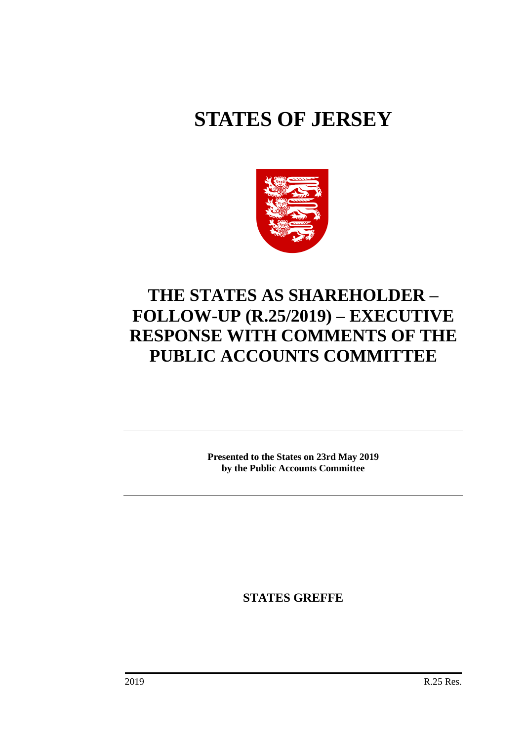# **STATES OF JERSEY**



## **THE STATES AS SHAREHOLDER – FOLLOW-UP (R.25/2019) – EXECUTIVE RESPONSE WITH COMMENTS OF THE PUBLIC ACCOUNTS COMMITTEE**

**Presented to the States on 23rd May 2019 by the Public Accounts Committee**

**STATES GREFFE**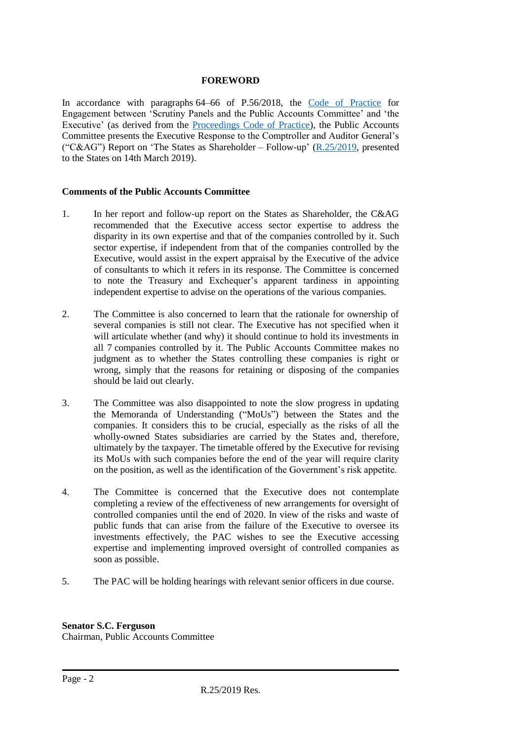#### **FOREWORD**

In accordance with paragraphs 64–66 of P.56/2018, the [Code of Practice](https://statesassembly.gov.je/assemblypropositions/2018/p.56-2018.pdf) for Engagement between 'Scrutiny Panels and the Public Accounts Committee' and 'the Executive' (as derived from the [Proceedings Code of Practice\)](https://statesassembly.gov.je/committees/publishingimages/pages/scrutinypanelscommittees/scrutiny%20-pac%20proceedings%20code%20of%20practice%20final.pdf), the Public Accounts Committee presents the Executive Response to the Comptroller and Auditor General's ("C&AG") Report on 'The States as Shareholder – Follow-up'  $(R.25/2019$ , presented to the States on 14th March 2019).

#### **Comments of the Public Accounts Committee**

- 1. In her report and follow-up report on the States as Shareholder, the C&AG recommended that the Executive access sector expertise to address the disparity in its own expertise and that of the companies controlled by it. Such sector expertise, if independent from that of the companies controlled by the Executive, would assist in the expert appraisal by the Executive of the advice of consultants to which it refers in its response. The Committee is concerned to note the Treasury and Exchequer's apparent tardiness in appointing independent expertise to advise on the operations of the various companies.
- 2. The Committee is also concerned to learn that the rationale for ownership of several companies is still not clear. The Executive has not specified when it will articulate whether (and why) it should continue to hold its investments in all 7 companies controlled by it. The Public Accounts Committee makes no judgment as to whether the States controlling these companies is right or wrong, simply that the reasons for retaining or disposing of the companies should be laid out clearly.
- 3. The Committee was also disappointed to note the slow progress in updating the Memoranda of Understanding ("MoUs") between the States and the companies. It considers this to be crucial, especially as the risks of all the wholly-owned States subsidiaries are carried by the States and, therefore, ultimately by the taxpayer. The timetable offered by the Executive for revising its MoUs with such companies before the end of the year will require clarity on the position, as well as the identification of the Government's risk appetite.
- 4. The Committee is concerned that the Executive does not contemplate completing a review of the effectiveness of new arrangements for oversight of controlled companies until the end of 2020. In view of the risks and waste of public funds that can arise from the failure of the Executive to oversee its investments effectively, the PAC wishes to see the Executive accessing expertise and implementing improved oversight of controlled companies as soon as possible.
- 5. The PAC will be holding hearings with relevant senior officers in due course.

**Senator S.C. Ferguson** Chairman, Public Accounts Committee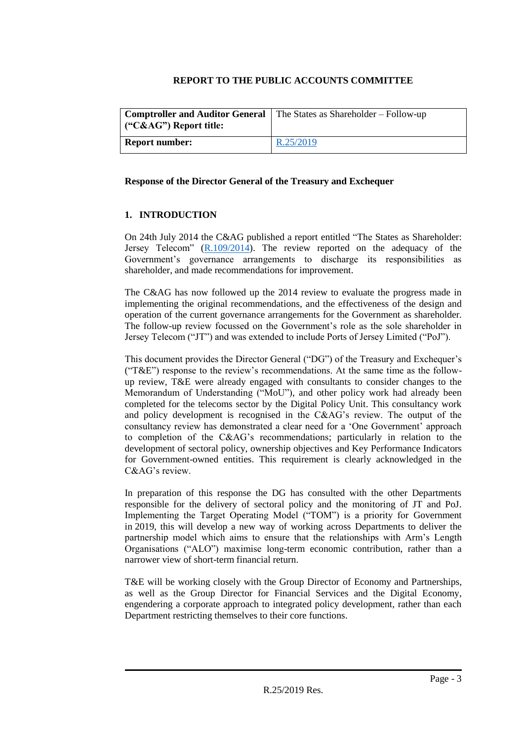#### **REPORT TO THE PUBLIC ACCOUNTS COMMITTEE**

| <b>Comptroller and Auditor General</b><br>$\mid$ ("C&AG") Report title: | The States as Shareholder – Follow-up |
|-------------------------------------------------------------------------|---------------------------------------|
| <b>Report number:</b>                                                   | R.25/2019                             |

#### **Response of the Director General of the Treasury and Exchequer**

#### **1. INTRODUCTION**

On 24th July 2014 the C&AG published a report entitled "The States as Shareholder: Jersey Telecom" [\(R.109/2014\)](https://statesassembly.gov.je/assemblyreports/2014/r.109-2014.pdf). The review reported on the adequacy of the Government's governance arrangements to discharge its responsibilities as shareholder, and made recommendations for improvement.

The C&AG has now followed up the 2014 review to evaluate the progress made in implementing the original recommendations, and the effectiveness of the design and operation of the current governance arrangements for the Government as shareholder. The follow-up review focussed on the Government's role as the sole shareholder in Jersey Telecom ("JT") and was extended to include Ports of Jersey Limited ("PoJ").

This document provides the Director General ("DG") of the Treasury and Exchequer's ("T&E") response to the review's recommendations. At the same time as the followup review, T&E were already engaged with consultants to consider changes to the Memorandum of Understanding ("MoU"), and other policy work had already been completed for the telecoms sector by the Digital Policy Unit. This consultancy work and policy development is recognised in the C&AG's review. The output of the consultancy review has demonstrated a clear need for a 'One Government' approach to completion of the C&AG's recommendations; particularly in relation to the development of sectoral policy, ownership objectives and Key Performance Indicators for Government-owned entities. This requirement is clearly acknowledged in the C&AG's review.

In preparation of this response the DG has consulted with the other Departments responsible for the delivery of sectoral policy and the monitoring of JT and PoJ. Implementing the Target Operating Model ("TOM") is a priority for Government in 2019, this will develop a new way of working across Departments to deliver the partnership model which aims to ensure that the relationships with Arm's Length Organisations ("ALO") maximise long-term economic contribution, rather than a narrower view of short-term financial return.

T&E will be working closely with the Group Director of Economy and Partnerships, as well as the Group Director for Financial Services and the Digital Economy, engendering a corporate approach to integrated policy development, rather than each Department restricting themselves to their core functions.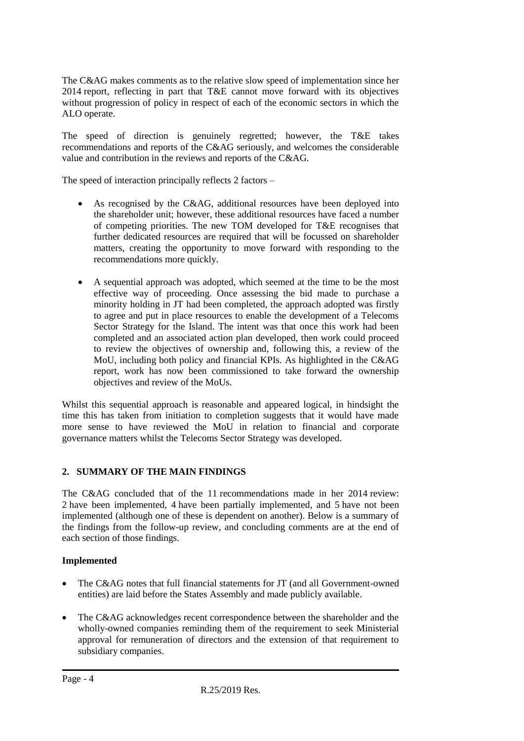The C&AG makes comments as to the relative slow speed of implementation since her 2014 report, reflecting in part that T&E cannot move forward with its objectives without progression of policy in respect of each of the economic sectors in which the ALO operate.

The speed of direction is genuinely regretted; however, the T&E takes recommendations and reports of the C&AG seriously, and welcomes the considerable value and contribution in the reviews and reports of the C&AG.

The speed of interaction principally reflects 2 factors –

- As recognised by the C&AG, additional resources have been deployed into the shareholder unit; however, these additional resources have faced a number of competing priorities. The new TOM developed for T&E recognises that further dedicated resources are required that will be focussed on shareholder matters, creating the opportunity to move forward with responding to the recommendations more quickly.
- A sequential approach was adopted, which seemed at the time to be the most effective way of proceeding. Once assessing the bid made to purchase a minority holding in JT had been completed, the approach adopted was firstly to agree and put in place resources to enable the development of a Telecoms Sector Strategy for the Island. The intent was that once this work had been completed and an associated action plan developed, then work could proceed to review the objectives of ownership and, following this, a review of the MoU, including both policy and financial KPIs. As highlighted in the C&AG report, work has now been commissioned to take forward the ownership objectives and review of the MoUs.

Whilst this sequential approach is reasonable and appeared logical, in hindsight the time this has taken from initiation to completion suggests that it would have made more sense to have reviewed the MoU in relation to financial and corporate governance matters whilst the Telecoms Sector Strategy was developed.

#### **2. SUMMARY OF THE MAIN FINDINGS**

The C&AG concluded that of the 11 recommendations made in her 2014 review: 2 have been implemented, 4 have been partially implemented, and 5 have not been implemented (although one of these is dependent on another). Below is a summary of the findings from the follow-up review, and concluding comments are at the end of each section of those findings.

#### **Implemented**

- The C&AG notes that full financial statements for JT (and all Government-owned entities) are laid before the States Assembly and made publicly available.
- The C&AG acknowledges recent correspondence between the shareholder and the wholly-owned companies reminding them of the requirement to seek Ministerial approval for remuneration of directors and the extension of that requirement to subsidiary companies.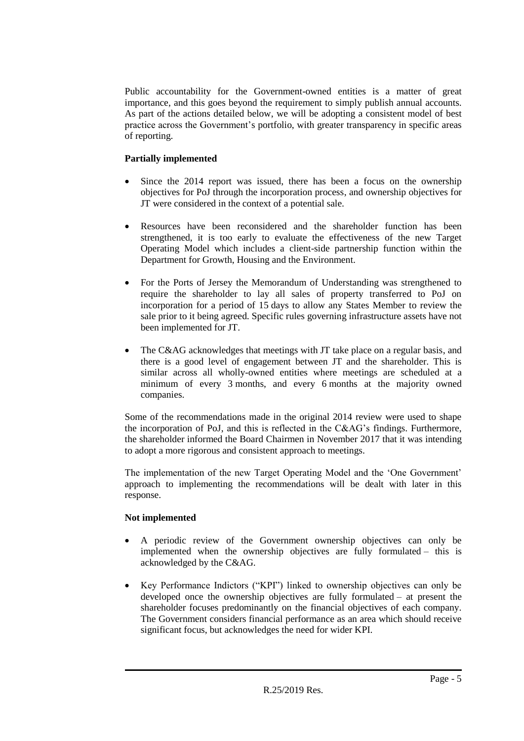Public accountability for the Government-owned entities is a matter of great importance, and this goes beyond the requirement to simply publish annual accounts. As part of the actions detailed below, we will be adopting a consistent model of best practice across the Government's portfolio, with greater transparency in specific areas of reporting.

#### **Partially implemented**

- Since the 2014 report was issued, there has been a focus on the ownership objectives for PoJ through the incorporation process, and ownership objectives for JT were considered in the context of a potential sale.
- Resources have been reconsidered and the shareholder function has been strengthened, it is too early to evaluate the effectiveness of the new Target Operating Model which includes a client-side partnership function within the Department for Growth, Housing and the Environment.
- For the Ports of Jersey the Memorandum of Understanding was strengthened to require the shareholder to lay all sales of property transferred to PoJ on incorporation for a period of 15 days to allow any States Member to review the sale prior to it being agreed. Specific rules governing infrastructure assets have not been implemented for JT.
- The C&AG acknowledges that meetings with JT take place on a regular basis, and there is a good level of engagement between JT and the shareholder. This is similar across all wholly-owned entities where meetings are scheduled at a minimum of every 3 months, and every 6 months at the majority owned companies.

Some of the recommendations made in the original 2014 review were used to shape the incorporation of PoJ, and this is reflected in the C&AG's findings. Furthermore, the shareholder informed the Board Chairmen in November 2017 that it was intending to adopt a more rigorous and consistent approach to meetings.

The implementation of the new Target Operating Model and the 'One Government' approach to implementing the recommendations will be dealt with later in this response.

#### **Not implemented**

- A periodic review of the Government ownership objectives can only be implemented when the ownership objectives are fully formulated – this is acknowledged by the C&AG.
- Key Performance Indictors ("KPI") linked to ownership objectives can only be developed once the ownership objectives are fully formulated – at present the shareholder focuses predominantly on the financial objectives of each company. The Government considers financial performance as an area which should receive significant focus, but acknowledges the need for wider KPI.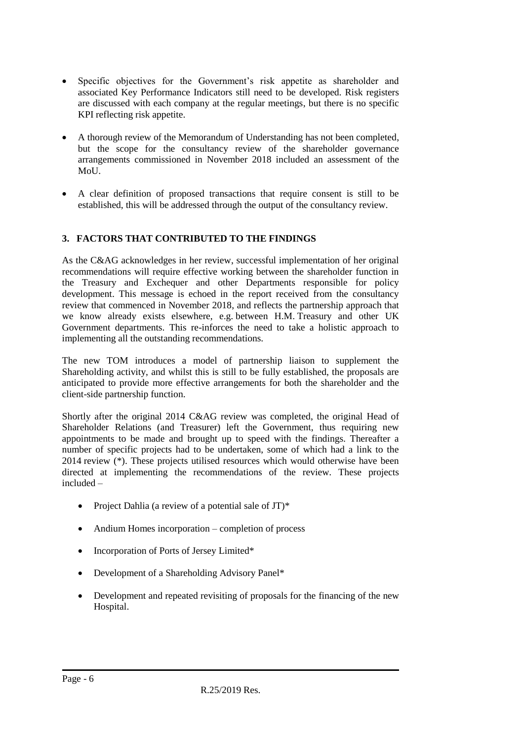- Specific objectives for the Government's risk appetite as shareholder and associated Key Performance Indicators still need to be developed. Risk registers are discussed with each company at the regular meetings, but there is no specific KPI reflecting risk appetite.
- A thorough review of the Memorandum of Understanding has not been completed, but the scope for the consultancy review of the shareholder governance arrangements commissioned in November 2018 included an assessment of the MoU.
- A clear definition of proposed transactions that require consent is still to be established, this will be addressed through the output of the consultancy review.

#### **3. FACTORS THAT CONTRIBUTED TO THE FINDINGS**

As the C&AG acknowledges in her review, successful implementation of her original recommendations will require effective working between the shareholder function in the Treasury and Exchequer and other Departments responsible for policy development. This message is echoed in the report received from the consultancy review that commenced in November 2018, and reflects the partnership approach that we know already exists elsewhere, e.g. between H.M. Treasury and other UK Government departments. This re-inforces the need to take a holistic approach to implementing all the outstanding recommendations.

The new TOM introduces a model of partnership liaison to supplement the Shareholding activity, and whilst this is still to be fully established, the proposals are anticipated to provide more effective arrangements for both the shareholder and the client-side partnership function.

Shortly after the original 2014 C&AG review was completed, the original Head of Shareholder Relations (and Treasurer) left the Government, thus requiring new appointments to be made and brought up to speed with the findings. Thereafter a number of specific projects had to be undertaken, some of which had a link to the 2014 review (\*). These projects utilised resources which would otherwise have been directed at implementing the recommendations of the review. These projects included –

- Project Dahlia (a review of a potential sale of  $JT$ )\*
- Andium Homes incorporation completion of process
- Incorporation of Ports of Jersey Limited\*
- Development of a Shareholding Advisory Panel\*
- Development and repeated revisiting of proposals for the financing of the new Hospital.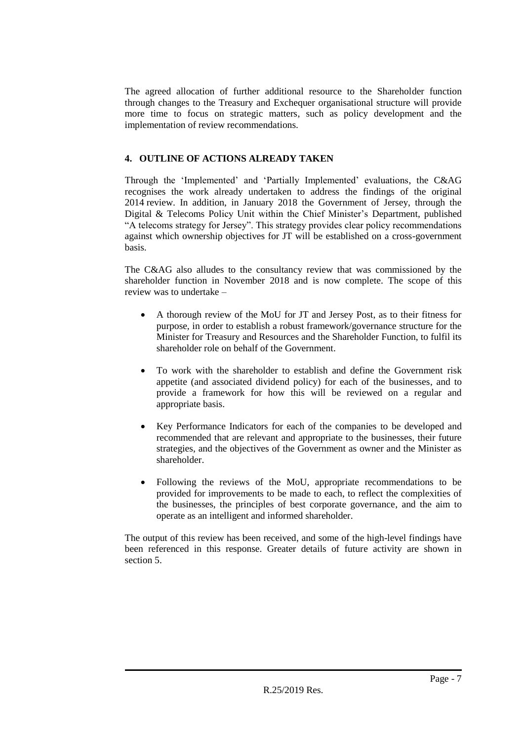The agreed allocation of further additional resource to the Shareholder function through changes to the Treasury and Exchequer organisational structure will provide more time to focus on strategic matters, such as policy development and the implementation of review recommendations.

#### **4. OUTLINE OF ACTIONS ALREADY TAKEN**

Through the 'Implemented' and 'Partially Implemented' evaluations, the C&AG recognises the work already undertaken to address the findings of the original 2014 review. In addition, in January 2018 the Government of Jersey, through the Digital & Telecoms Policy Unit within the Chief Minister's Department, published "A telecoms strategy for Jersey". This strategy provides clear policy recommendations against which ownership objectives for JT will be established on a cross-government basis.

The C&AG also alludes to the consultancy review that was commissioned by the shareholder function in November 2018 and is now complete. The scope of this review was to undertake –

- A thorough review of the MoU for JT and Jersey Post, as to their fitness for purpose, in order to establish a robust framework/governance structure for the Minister for Treasury and Resources and the Shareholder Function, to fulfil its shareholder role on behalf of the Government.
- To work with the shareholder to establish and define the Government risk appetite (and associated dividend policy) for each of the businesses, and to provide a framework for how this will be reviewed on a regular and appropriate basis.
- Key Performance Indicators for each of the companies to be developed and recommended that are relevant and appropriate to the businesses, their future strategies, and the objectives of the Government as owner and the Minister as shareholder.
- Following the reviews of the MoU, appropriate recommendations to be provided for improvements to be made to each, to reflect the complexities of the businesses, the principles of best corporate governance, and the aim to operate as an intelligent and informed shareholder.

The output of this review has been received, and some of the high-level findings have been referenced in this response. Greater details of future activity are shown in section 5.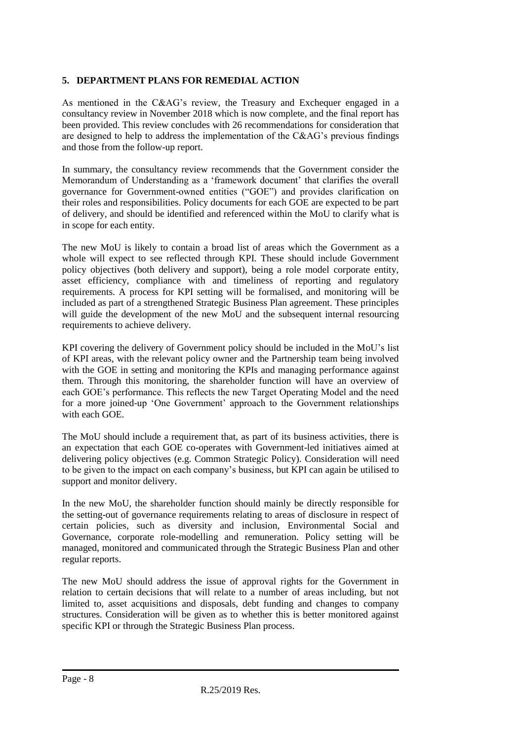#### **5. DEPARTMENT PLANS FOR REMEDIAL ACTION**

As mentioned in the C&AG's review, the Treasury and Exchequer engaged in a consultancy review in November 2018 which is now complete, and the final report has been provided. This review concludes with 26 recommendations for consideration that are designed to help to address the implementation of the C&AG's previous findings and those from the follow-up report.

In summary, the consultancy review recommends that the Government consider the Memorandum of Understanding as a 'framework document' that clarifies the overall governance for Government-owned entities ("GOE") and provides clarification on their roles and responsibilities. Policy documents for each GOE are expected to be part of delivery, and should be identified and referenced within the MoU to clarify what is in scope for each entity.

The new MoU is likely to contain a broad list of areas which the Government as a whole will expect to see reflected through KPI. These should include Government policy objectives (both delivery and support), being a role model corporate entity, asset efficiency, compliance with and timeliness of reporting and regulatory requirements. A process for KPI setting will be formalised, and monitoring will be included as part of a strengthened Strategic Business Plan agreement. These principles will guide the development of the new MoU and the subsequent internal resourcing requirements to achieve delivery.

KPI covering the delivery of Government policy should be included in the MoU's list of KPI areas, with the relevant policy owner and the Partnership team being involved with the GOE in setting and monitoring the KPIs and managing performance against them. Through this monitoring, the shareholder function will have an overview of each GOE's performance. This reflects the new Target Operating Model and the need for a more joined-up 'One Government' approach to the Government relationships with each GOE.

The MoU should include a requirement that, as part of its business activities, there is an expectation that each GOE co-operates with Government-led initiatives aimed at delivering policy objectives (e.g. Common Strategic Policy). Consideration will need to be given to the impact on each company's business, but KPI can again be utilised to support and monitor delivery.

In the new MoU, the shareholder function should mainly be directly responsible for the setting-out of governance requirements relating to areas of disclosure in respect of certain policies, such as diversity and inclusion, Environmental Social and Governance, corporate role-modelling and remuneration. Policy setting will be managed, monitored and communicated through the Strategic Business Plan and other regular reports.

The new MoU should address the issue of approval rights for the Government in relation to certain decisions that will relate to a number of areas including, but not limited to, asset acquisitions and disposals, debt funding and changes to company structures. Consideration will be given as to whether this is better monitored against specific KPI or through the Strategic Business Plan process.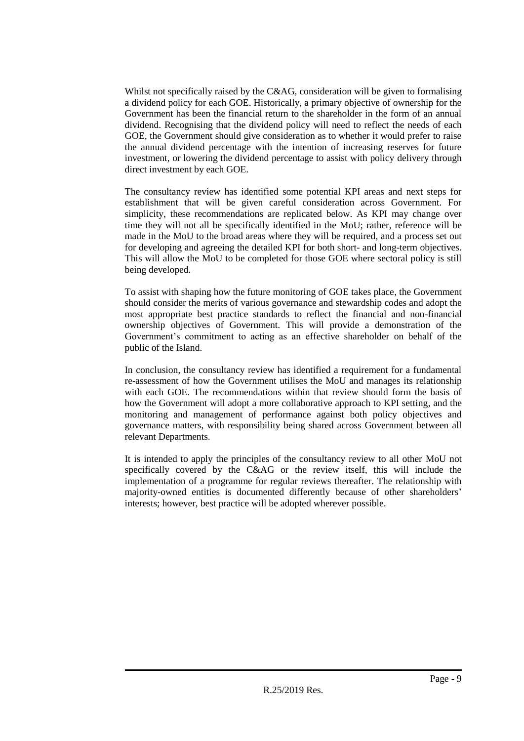Whilst not specifically raised by the C&AG, consideration will be given to formalising a dividend policy for each GOE. Historically, a primary objective of ownership for the Government has been the financial return to the shareholder in the form of an annual dividend. Recognising that the dividend policy will need to reflect the needs of each GOE, the Government should give consideration as to whether it would prefer to raise the annual dividend percentage with the intention of increasing reserves for future investment, or lowering the dividend percentage to assist with policy delivery through direct investment by each GOE.

The consultancy review has identified some potential KPI areas and next steps for establishment that will be given careful consideration across Government. For simplicity, these recommendations are replicated below. As KPI may change over time they will not all be specifically identified in the MoU; rather, reference will be made in the MoU to the broad areas where they will be required, and a process set out for developing and agreeing the detailed KPI for both short- and long-term objectives. This will allow the MoU to be completed for those GOE where sectoral policy is still being developed.

To assist with shaping how the future monitoring of GOE takes place, the Government should consider the merits of various governance and stewardship codes and adopt the most appropriate best practice standards to reflect the financial and non-financial ownership objectives of Government. This will provide a demonstration of the Government's commitment to acting as an effective shareholder on behalf of the public of the Island.

In conclusion, the consultancy review has identified a requirement for a fundamental re-assessment of how the Government utilises the MoU and manages its relationship with each GOE. The recommendations within that review should form the basis of how the Government will adopt a more collaborative approach to KPI setting, and the monitoring and management of performance against both policy objectives and governance matters, with responsibility being shared across Government between all relevant Departments.

It is intended to apply the principles of the consultancy review to all other MoU not specifically covered by the C&AG or the review itself, this will include the implementation of a programme for regular reviews thereafter. The relationship with majority-owned entities is documented differently because of other shareholders' interests; however, best practice will be adopted wherever possible.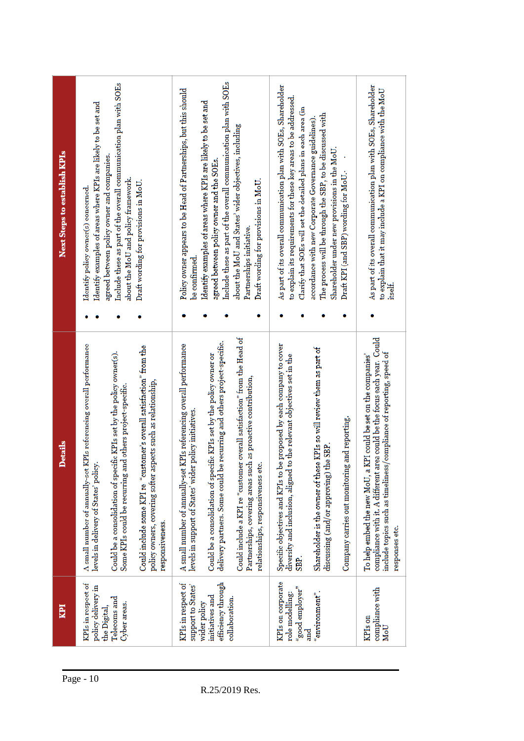| Next Steps to establish KPIs | Identify examples of areas where KPIs are likely to be set and<br>Identify policy owner(s) concerned.        | Include these as part of the overall communication plan with SOEs<br>agreed between policy owner and companies.<br>about the MoU and policy framework. | Draft wording for provisions in MoU.                                                                                                                    | Policy owner appears to be Head of Partnerships, but this should<br>be contirmed.                                             | Include these as part of the overall communication plan with SOEs<br>Identify examples of areas where KPIs are likely to be set and<br>agreed between policy owner and the SOEs. | about the MoU and States' wider objectives, including<br>Draft wording for provisions in MoU.<br>Partnerships initiative.                                                        | As part of its overall communication plan with SOEs, Shareholder<br>to explain its requirements for these key areas to be addressed.<br>Clarify that SOEs will set the detailed plans in each area (in | The process will be through the SBP, to be discussed with<br>accordance with new Corporate Governance guidelines).<br>Shareholder under new provisions in the MoU. | Draft KPI (and SBP) wording for MoU.          | As part of its overall communication plan with SOEs, Shareholder<br>to explain that it may include a KPI on compliance with the MoU<br>itself.                                                                                       |
|------------------------------|--------------------------------------------------------------------------------------------------------------|--------------------------------------------------------------------------------------------------------------------------------------------------------|---------------------------------------------------------------------------------------------------------------------------------------------------------|-------------------------------------------------------------------------------------------------------------------------------|----------------------------------------------------------------------------------------------------------------------------------------------------------------------------------|----------------------------------------------------------------------------------------------------------------------------------------------------------------------------------|--------------------------------------------------------------------------------------------------------------------------------------------------------------------------------------------------------|--------------------------------------------------------------------------------------------------------------------------------------------------------------------|-----------------------------------------------|--------------------------------------------------------------------------------------------------------------------------------------------------------------------------------------------------------------------------------------|
| <b>Details</b>               | A small number of annually-set KPIs referencing overall performance<br>levels in delivery of States' policy. | Could be a consolidation of specific KPIs set by the policy owner(s).<br>and others project-specific.<br>Some KPIs could be recurring                  | Could include some KPI re "customer's overall satisfaction" from the<br>policy owners, covering softer aspects such as relationship,<br>responsiveness. | A small number of annually-set KPIs referencing overall performance<br>levels in support of States' wider policy initiatives. | be recurring and others project-specific.<br>Could be a consolidation of specific KPIs set by the policy owner or<br>delivery partners. Some could                               | Could include a KPI re "customer overall satisfaction" from the Head of<br>Partnerships, covering areas such as proactive contribution,<br>etc.<br>relationships, responsiveness | Specific objectives and KPIs to be proposed by each company to cover<br>diversity and inclusion, aligned to the relevant objectives set in the<br>SBP.                                                 | Shareholder is the owner of these KPIs so will review them as part of<br>discussing (and/or approving) the SBP                                                     | Company carries out monitoring and reporting. | compliance with it. A different area could be the focus each year. Could<br>include topics such as timeliness/compliance of reporting, speed of<br>To help embed the new MoU, a KPI could be set on the companies'<br>responses etc. |
| <b>IdN</b>                   | KPIs in respect of<br>policy delivery in<br>the Digital,                                                     | Telecoms and<br>Cyber areas.                                                                                                                           |                                                                                                                                                         | KPIs in respect of<br>support to States'                                                                                      | efficiency through<br>initiatives and<br>wider policy                                                                                                                            | collaboration.                                                                                                                                                                   | KPIs on corporate<br>$\mathrm{``good\,emptyer''}$<br>role modelling:                                                                                                                                   | "environment".<br>and<br>a                                                                                                                                         |                                               | compliance with<br>KPIs on<br>MoU                                                                                                                                                                                                    |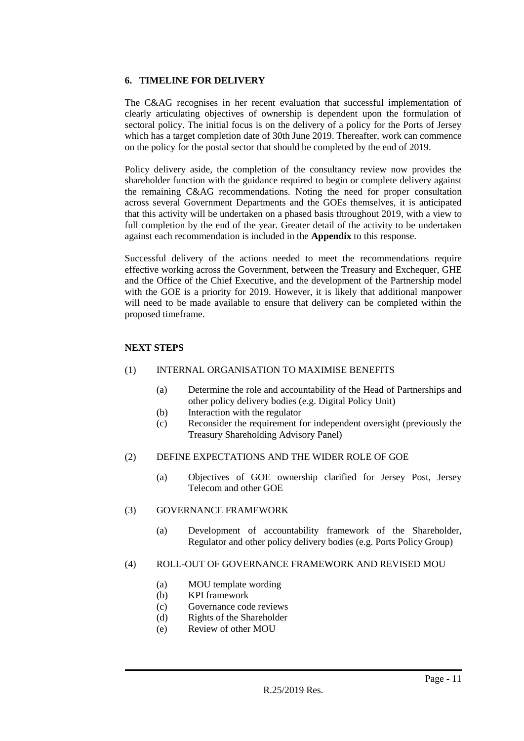#### **6. TIMELINE FOR DELIVERY**

The C&AG recognises in her recent evaluation that successful implementation of clearly articulating objectives of ownership is dependent upon the formulation of sectoral policy. The initial focus is on the delivery of a policy for the Ports of Jersey which has a target completion date of 30th June 2019. Thereafter, work can commence on the policy for the postal sector that should be completed by the end of 2019.

Policy delivery aside, the completion of the consultancy review now provides the shareholder function with the guidance required to begin or complete delivery against the remaining C&AG recommendations. Noting the need for proper consultation across several Government Departments and the GOEs themselves, it is anticipated that this activity will be undertaken on a phased basis throughout 2019, with a view to full completion by the end of the year. Greater detail of the activity to be undertaken against each recommendation is included in the **Appendix** to this response.

Successful delivery of the actions needed to meet the recommendations require effective working across the Government, between the Treasury and Exchequer, GHE and the Office of the Chief Executive, and the development of the Partnership model with the GOE is a priority for 2019. However, it is likely that additional manpower will need to be made available to ensure that delivery can be completed within the proposed timeframe.

#### **NEXT STEPS**

#### (1) INTERNAL ORGANISATION TO MAXIMISE BENEFITS

- (a) Determine the role and accountability of the Head of Partnerships and other policy delivery bodies (e.g. Digital Policy Unit)
- (b) Interaction with the regulator
- (c) Reconsider the requirement for independent oversight (previously the Treasury Shareholding Advisory Panel)

#### (2) DEFINE EXPECTATIONS AND THE WIDER ROLE OF GOE

(a) Objectives of GOE ownership clarified for Jersey Post, Jersey Telecom and other GOE

#### (3) GOVERNANCE FRAMEWORK

(a) Development of accountability framework of the Shareholder, Regulator and other policy delivery bodies (e.g. Ports Policy Group)

#### (4) ROLL-OUT OF GOVERNANCE FRAMEWORK AND REVISED MOU

- (a) MOU template wording
- (b) KPI framework
- (c) Governance code reviews
- (d) Rights of the Shareholder
- (e) Review of other MOU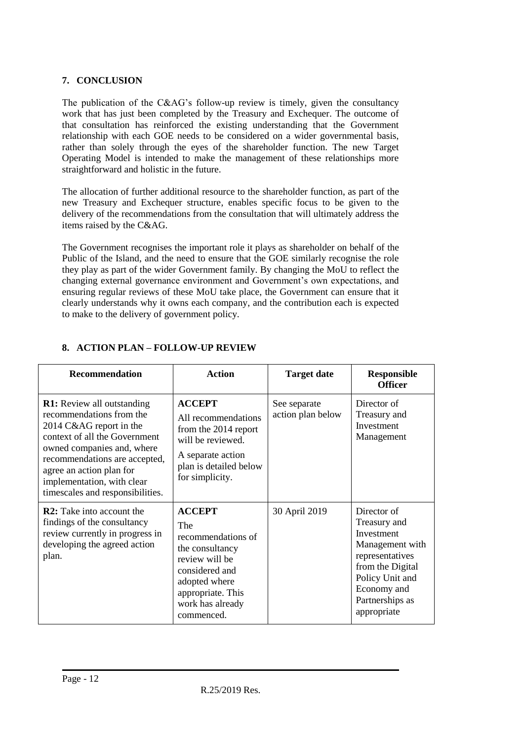#### **7. CONCLUSION**

The publication of the C&AG's follow-up review is timely, given the consultancy work that has just been completed by the Treasury and Exchequer. The outcome of that consultation has reinforced the existing understanding that the Government relationship with each GOE needs to be considered on a wider governmental basis, rather than solely through the eyes of the shareholder function. The new Target Operating Model is intended to make the management of these relationships more straightforward and holistic in the future.

The allocation of further additional resource to the shareholder function, as part of the new Treasury and Exchequer structure, enables specific focus to be given to the delivery of the recommendations from the consultation that will ultimately address the items raised by the C&AG.

The Government recognises the important role it plays as shareholder on behalf of the Public of the Island, and the need to ensure that the GOE similarly recognise the role they play as part of the wider Government family. By changing the MoU to reflect the changing external governance environment and Government's own expectations, and ensuring regular reviews of these MoU take place, the Government can ensure that it clearly understands why it owns each company, and the contribution each is expected to make to the delivery of government policy.

| Recommendation                                                                                                                                                                                                                                                                         | <b>Action</b>                                                                                                                                                             | <b>Target date</b>                | <b>Responsible</b><br><b>Officer</b>                                                                                                                                    |
|----------------------------------------------------------------------------------------------------------------------------------------------------------------------------------------------------------------------------------------------------------------------------------------|---------------------------------------------------------------------------------------------------------------------------------------------------------------------------|-----------------------------------|-------------------------------------------------------------------------------------------------------------------------------------------------------------------------|
| <b>R1:</b> Review all outstanding<br>recommendations from the<br>2014 C&AG report in the<br>context of all the Government<br>owned companies and, where<br>recommendations are accepted,<br>agree an action plan for<br>implementation, with clear<br>timescales and responsibilities. | <b>ACCEPT</b><br>All recommendations<br>from the 2014 report<br>will be reviewed.<br>A separate action<br>plan is detailed below<br>for simplicity.                       | See separate<br>action plan below | Director of<br>Treasury and<br>Investment<br>Management                                                                                                                 |
| <b>R2:</b> Take into account the<br>findings of the consultancy<br>review currently in progress in<br>developing the agreed action<br>plan.                                                                                                                                            | <b>ACCEPT</b><br>The<br>recommendations of<br>the consultancy<br>review will be<br>considered and<br>adopted where<br>appropriate. This<br>work has already<br>commenced. | 30 April 2019                     | Director of<br>Treasury and<br>Investment<br>Management with<br>representatives<br>from the Digital<br>Policy Unit and<br>Economy and<br>Partnerships as<br>appropriate |

#### **8. ACTION PLAN – FOLLOW-UP REVIEW**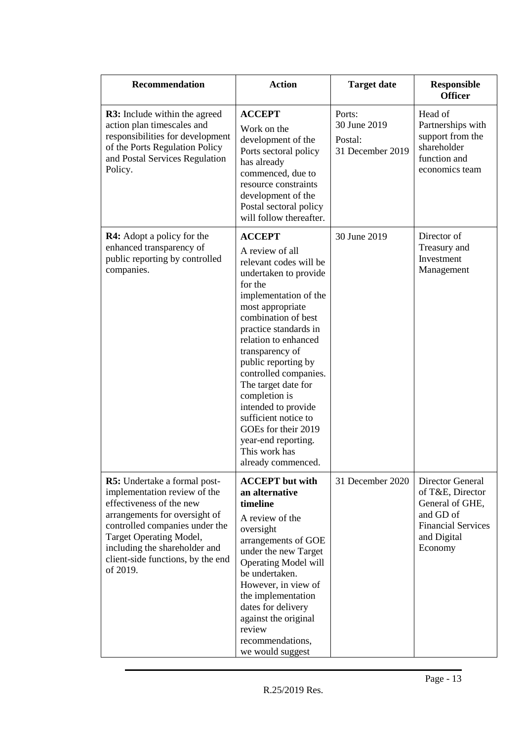| Recommendation                                                                                                                                                                                                                                                           | <b>Action</b>                                                                                                                                                                                                                                                                                                                                                                                                                                                      | <b>Target date</b>                                    | <b>Responsible</b><br><b>Officer</b>                                                                                        |
|--------------------------------------------------------------------------------------------------------------------------------------------------------------------------------------------------------------------------------------------------------------------------|--------------------------------------------------------------------------------------------------------------------------------------------------------------------------------------------------------------------------------------------------------------------------------------------------------------------------------------------------------------------------------------------------------------------------------------------------------------------|-------------------------------------------------------|-----------------------------------------------------------------------------------------------------------------------------|
| <b>R3:</b> Include within the agreed<br>action plan timescales and<br>responsibilities for development<br>of the Ports Regulation Policy<br>and Postal Services Regulation<br>Policy.                                                                                    | <b>ACCEPT</b><br>Work on the<br>development of the<br>Ports sectoral policy<br>has already<br>commenced, due to<br>resource constraints<br>development of the<br>Postal sectoral policy<br>will follow thereafter.                                                                                                                                                                                                                                                 | Ports:<br>30 June 2019<br>Postal:<br>31 December 2019 | Head of<br>Partnerships with<br>support from the<br>shareholder<br>function and<br>economics team                           |
| <b>R4:</b> Adopt a policy for the<br>enhanced transparency of<br>public reporting by controlled<br>companies.                                                                                                                                                            | <b>ACCEPT</b><br>A review of all<br>relevant codes will be<br>undertaken to provide<br>for the<br>implementation of the<br>most appropriate<br>combination of best<br>practice standards in<br>relation to enhanced<br>transparency of<br>public reporting by<br>controlled companies.<br>The target date for<br>completion is<br>intended to provide<br>sufficient notice to<br>GOEs for their 2019<br>year-end reporting.<br>This work has<br>already commenced. | 30 June 2019                                          | Director of<br>Treasury and<br>Investment<br>Management                                                                     |
| R5: Undertake a formal post-<br>implementation review of the<br>effectiveness of the new<br>arrangements for oversight of<br>controlled companies under the<br>Target Operating Model,<br>including the shareholder and<br>client-side functions, by the end<br>of 2019. | <b>ACCEPT</b> but with<br>an alternative<br>timeline<br>A review of the<br>oversight<br>arrangements of GOE<br>under the new Target<br><b>Operating Model will</b><br>be undertaken.<br>However, in view of<br>the implementation<br>dates for delivery<br>against the original<br>review<br>recommendations,<br>we would suggest                                                                                                                                  | 31 December 2020                                      | Director General<br>of T&E, Director<br>General of GHE,<br>and GD of<br><b>Financial Services</b><br>and Digital<br>Economy |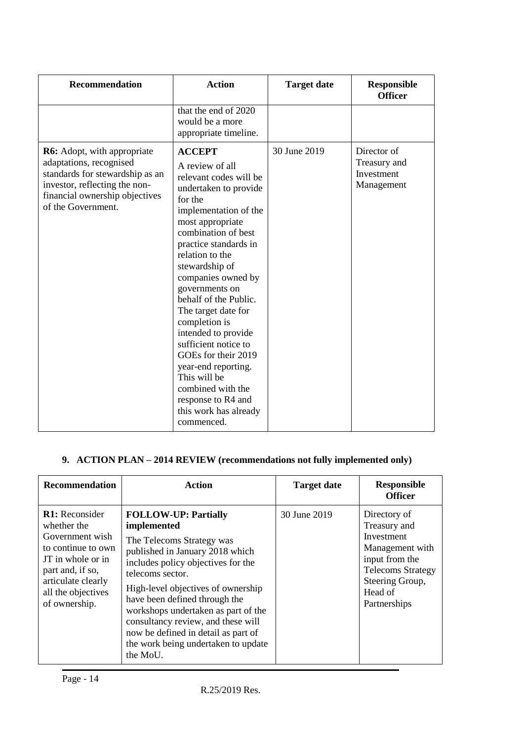| <b>Recommendation</b>                                                                                                                                                                     | <b>Action</b>                                                                                                                                                                                                                                                                                                                                                                                                                                                                                                                            | <b>Target date</b> | <b>Responsible</b><br><b>Officer</b>                    |
|-------------------------------------------------------------------------------------------------------------------------------------------------------------------------------------------|------------------------------------------------------------------------------------------------------------------------------------------------------------------------------------------------------------------------------------------------------------------------------------------------------------------------------------------------------------------------------------------------------------------------------------------------------------------------------------------------------------------------------------------|--------------------|---------------------------------------------------------|
|                                                                                                                                                                                           | that the end of 2020<br>would be a more<br>appropriate timeline.                                                                                                                                                                                                                                                                                                                                                                                                                                                                         |                    |                                                         |
| <b>R6:</b> Adopt, with appropriate<br>adaptations, recognised<br>standards for stewardship as an<br>investor, reflecting the non-<br>financial ownership objectives<br>of the Government. | <b>ACCEPT</b><br>A review of all<br>relevant codes will be<br>undertaken to provide<br>for the<br>implementation of the<br>most appropriate<br>combination of best<br>practice standards in<br>relation to the<br>stewardship of<br>companies owned by<br>governments on<br>behalf of the Public.<br>The target date for<br>completion is<br>intended to provide<br>sufficient notice to<br>GOEs for their 2019<br>year-end reporting.<br>This will be<br>combined with the<br>response to R4 and<br>this work has already<br>commenced. | 30 June 2019       | Director of<br>Treasury and<br>Investment<br>Management |

### **9. ACTION PLAN – 2014 REVIEW (recommendations not fully implemented only)**

| Recommendation                                                                                                                                                                      | <b>Action</b>                                                                                                                                                                                                                                                                                                                                                                                                      | <b>Target date</b> | <b>Responsible</b><br><b>Officer</b>                                                                                                                      |
|-------------------------------------------------------------------------------------------------------------------------------------------------------------------------------------|--------------------------------------------------------------------------------------------------------------------------------------------------------------------------------------------------------------------------------------------------------------------------------------------------------------------------------------------------------------------------------------------------------------------|--------------------|-----------------------------------------------------------------------------------------------------------------------------------------------------------|
| <b>R1:</b> Reconsider<br>whether the<br>Government wish<br>to continue to own<br>JT in whole or in<br>part and, if so,<br>articulate clearly<br>all the objectives<br>of ownership. | <b>FOLLOW-UP: Partially</b><br>implemented<br>The Telecoms Strategy was<br>published in January 2018 which<br>includes policy objectives for the<br>telecoms sector.<br>High-level objectives of ownership<br>have been defined through the<br>workshops undertaken as part of the<br>consultancy review, and these will<br>now be defined in detail as part of<br>the work being undertaken to update<br>the MoU. | 30 June 2019       | Directory of<br>Treasury and<br>Investment<br>Management with<br>input from the<br><b>Telecoms Strategy</b><br>Steering Group,<br>Head of<br>Partnerships |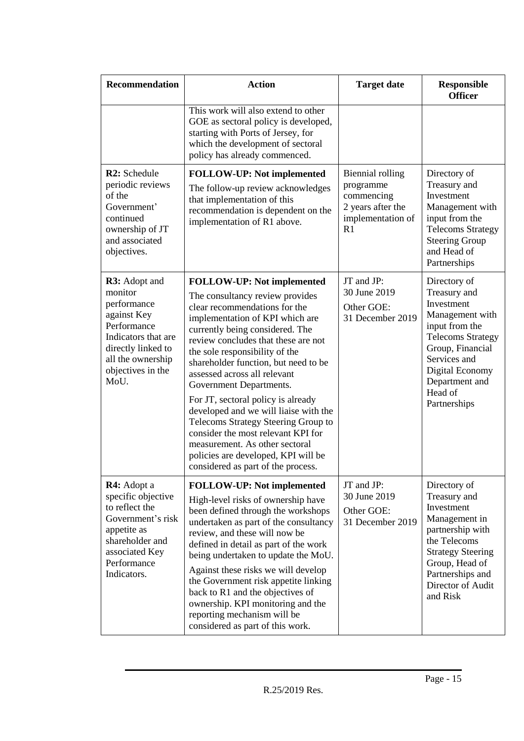| <b>Recommendation</b>                                                                                                                                                | <b>Action</b>                                                                                                                                                                                                                                                                                                                                                                                                                                                                                                                                                                                                                      | <b>Target date</b>                                                                          | <b>Responsible</b><br><b>Officer</b>                                                                                                                                                                            |
|----------------------------------------------------------------------------------------------------------------------------------------------------------------------|------------------------------------------------------------------------------------------------------------------------------------------------------------------------------------------------------------------------------------------------------------------------------------------------------------------------------------------------------------------------------------------------------------------------------------------------------------------------------------------------------------------------------------------------------------------------------------------------------------------------------------|---------------------------------------------------------------------------------------------|-----------------------------------------------------------------------------------------------------------------------------------------------------------------------------------------------------------------|
|                                                                                                                                                                      | This work will also extend to other<br>GOE as sectoral policy is developed,<br>starting with Ports of Jersey, for<br>which the development of sectoral<br>policy has already commenced.                                                                                                                                                                                                                                                                                                                                                                                                                                            |                                                                                             |                                                                                                                                                                                                                 |
| R2: Schedule<br>periodic reviews<br>of the<br>Government'<br>continued<br>ownership of JT<br>and associated<br>objectives.                                           | FOLLOW-UP: Not implemented<br>The follow-up review acknowledges<br>that implementation of this<br>recommendation is dependent on the<br>implementation of R1 above.                                                                                                                                                                                                                                                                                                                                                                                                                                                                | Biennial rolling<br>programme<br>commencing<br>2 years after the<br>implementation of<br>R1 | Directory of<br>Treasury and<br>Investment<br>Management with<br>input from the<br><b>Telecoms Strategy</b><br><b>Steering Group</b><br>and Head of<br>Partnerships                                             |
| R3: Adopt and<br>monitor<br>performance<br>against Key<br>Performance<br>Indicators that are<br>directly linked to<br>all the ownership<br>objectives in the<br>MoU. | <b>FOLLOW-UP:</b> Not implemented<br>The consultancy review provides<br>clear recommendations for the<br>implementation of KPI which are<br>currently being considered. The<br>review concludes that these are not<br>the sole responsibility of the<br>shareholder function, but need to be<br>assessed across all relevant<br>Government Departments.<br>For JT, sectoral policy is already<br>developed and we will liaise with the<br>Telecoms Strategy Steering Group to<br>consider the most relevant KPI for<br>measurement. As other sectoral<br>policies are developed, KPI will be<br>considered as part of the process. | JT and JP:<br>30 June 2019<br>Other GOE:<br>31 December 2019                                | Directory of<br>Treasury and<br>Investment<br>Management with<br>input from the<br><b>Telecoms Strategy</b><br>Group, Financial<br>Services and<br>Digital Economy<br>Department and<br>Head of<br>Partnerships |
| <b>R4:</b> Adopt a<br>specific objective<br>to reflect the<br>Government's risk<br>appetite as<br>shareholder and<br>associated Key<br>Performance<br>Indicators.    | <b>FOLLOW-UP:</b> Not implemented<br>High-level risks of ownership have<br>been defined through the workshops<br>undertaken as part of the consultancy<br>review, and these will now be<br>defined in detail as part of the work<br>being undertaken to update the MoU.<br>Against these risks we will develop<br>the Government risk appetite linking<br>back to R1 and the objectives of<br>ownership. KPI monitoring and the<br>reporting mechanism will be<br>considered as part of this work.                                                                                                                                 | JT and JP:<br>30 June 2019<br>Other GOE:<br>31 December 2019                                | Directory of<br>Treasury and<br>Investment<br>Management in<br>partnership with<br>the Telecoms<br><b>Strategy Steering</b><br>Group, Head of<br>Partnerships and<br>Director of Audit<br>and Risk              |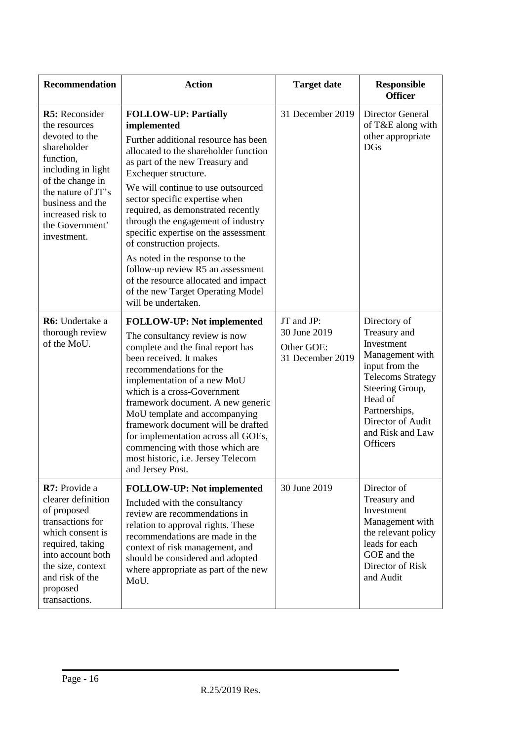| <b>Recommendation</b>                                                                                                                                                                                                    | <b>Action</b>                                                                                                                                                                                                                                                                                                                                                                                                                                                                                                                                                                               | <b>Target date</b>                                           | <b>Responsible</b><br><b>Officer</b>                                                                                                                                                                                   |
|--------------------------------------------------------------------------------------------------------------------------------------------------------------------------------------------------------------------------|---------------------------------------------------------------------------------------------------------------------------------------------------------------------------------------------------------------------------------------------------------------------------------------------------------------------------------------------------------------------------------------------------------------------------------------------------------------------------------------------------------------------------------------------------------------------------------------------|--------------------------------------------------------------|------------------------------------------------------------------------------------------------------------------------------------------------------------------------------------------------------------------------|
| R5: Reconsider<br>the resources<br>devoted to the<br>shareholder<br>function,<br>including in light<br>of the change in<br>the nature of JT's<br>business and the<br>increased risk to<br>the Government'<br>investment. | <b>FOLLOW-UP: Partially</b><br>implemented<br>Further additional resource has been<br>allocated to the shareholder function<br>as part of the new Treasury and<br>Exchequer structure.<br>We will continue to use outsourced<br>sector specific expertise when<br>required, as demonstrated recently<br>through the engagement of industry<br>specific expertise on the assessment<br>of construction projects.<br>As noted in the response to the<br>follow-up review R5 an assessment<br>of the resource allocated and impact<br>of the new Target Operating Model<br>will be undertaken. | 31 December 2019                                             | <b>Director General</b><br>of T&E along with<br>other appropriate<br><b>DGs</b>                                                                                                                                        |
| R6: Undertake a<br>thorough review<br>of the MoU.                                                                                                                                                                        | <b>FOLLOW-UP:</b> Not implemented<br>The consultancy review is now<br>complete and the final report has<br>been received. It makes<br>recommendations for the<br>implementation of a new MoU<br>which is a cross-Government<br>framework document. A new generic<br>MoU template and accompanying<br>framework document will be drafted<br>for implementation across all GOEs,<br>commencing with those which are<br>most historic, i.e. Jersey Telecom<br>and Jersey Post.                                                                                                                 | JT and JP:<br>30 June 2019<br>Other GOE:<br>31 December 2019 | Directory of<br>Treasury and<br>Investment<br>Management with<br>input from the<br><b>Telecoms Strategy</b><br>Steering Group,<br>Head of<br>Partnerships,<br>Director of Audit<br>and Risk and Law<br><b>Officers</b> |
| R7: Provide a<br>clearer definition<br>of proposed<br>transactions for<br>which consent is<br>required, taking<br>into account both<br>the size, context<br>and risk of the<br>proposed<br>transactions.                 | <b>FOLLOW-UP:</b> Not implemented<br>Included with the consultancy<br>review are recommendations in<br>relation to approval rights. These<br>recommendations are made in the<br>context of risk management, and<br>should be considered and adopted<br>where appropriate as part of the new<br>MoU.                                                                                                                                                                                                                                                                                         | 30 June 2019                                                 | Director of<br>Treasury and<br>Investment<br>Management with<br>the relevant policy<br>leads for each<br>GOE and the<br>Director of Risk<br>and Audit                                                                  |